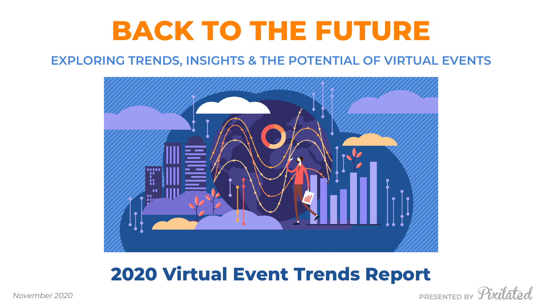# **BACK TO THE FUTURE EXPLORING TRENDS, INSIGHTS & THE POTENTIAL OF VIRTUAL EVENTS**





## **2020 Virtual Event Trends Report**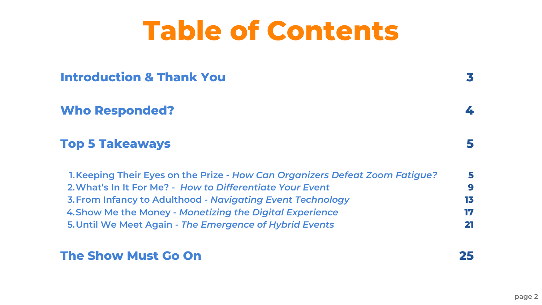# **Table of Contents**

**Keeping Their Eyes on the Prize -** *How Can Organizers Defeat Zoom Fatigue?* **1. What's In It For Me? -** *How to Differentiate Your Event* **2. From Infancy to Adulthood -** *Navigating Event Technology* **3. Show Me the Money -** *Monetizing the Digital Experience* **4. Until We Meet Again -** *The Emergence of Hybrid Events* **5.**

**Introduction & Thank You**

**Who Responded?**

**Top 5 Takeaways**

**The Show Must Go On**

| efeat Zoom Fatigue? |  |
|---------------------|--|
|                     |  |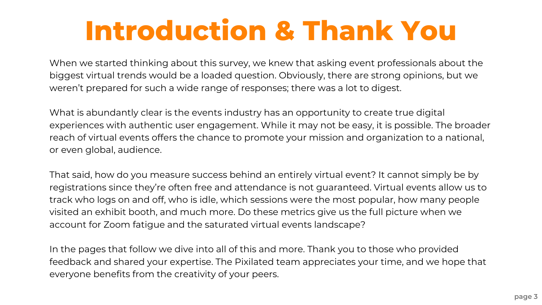When we started thinking about this survey, we knew that asking event professionals about the biggest virtual trends would be a loaded question. Obviously, there are strong opinions, but we weren't prepared for such a wide range of responses; there was a lot to digest.

What is abundantly clear is the events industry has an opportunity to create true digital experiences with authentic user engagement. While it may not be easy, it is possible. The broader reach of virtual events offers the chance to promote your mission and organization to a national, or even global, audience.

That said, how do you measure success behind an entirely virtual event? It cannot simply be by registrations since they're often free and attendance is not guaranteed. Virtual events allow us to track who logs on and off, who is idle, which sessions were the most popular, how many people visited an exhibit booth, and much more. Do these metrics give us the full picture when we account for Zoom fatigue and the saturated virtual events landscape?

In the pages that follow we dive into all of this and more. Thank you to those who provided feedback and shared your expertise. The Pixilated team appreciates your time, and we hope that everyone benefits from the creativity of your peers.

# **Introduction & Thank You**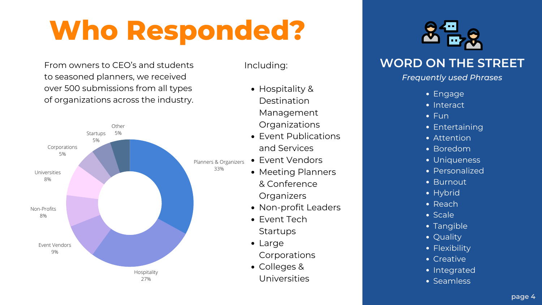- Hospitality & Destination Management **Organizations**
- Event Publications and Services
- Event Vendors
- Meeting Planners & Conference **Organizers**
- Non-profit Leaders
- Event Tech **Startups**
- Large **Corporations**
- Colleges & Universities



- Engage
- Interact
- Fun
- **Entertaining**
- Attention
- Boredom
- Uniqueness
- Personalized
- Burnout
- Hybrid
- Reach
- Scale
- Tangible
- Quality
- Flexibility
- Creative
- Integrated
- Seamless

Including:



# **Who Responded?**

### **WORD ON THE STREET**

#### *Frequently used Phrases*

From owners to CEO's and students to seasoned planners, we received over 500 submissions from all types of organizations across the industry.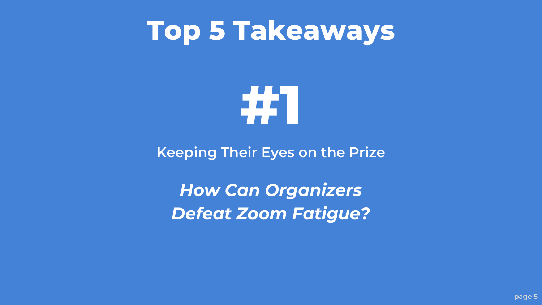# **Top 5 Takeaways**

**#1**

**Keeping Their Eyes on the Prize**

*How Can Organizers Defeat Zoom Fatigue?*

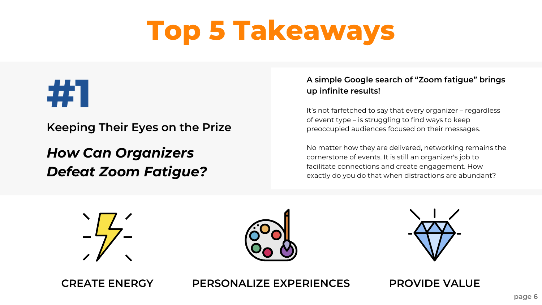#### **A simple Google search of "Zoom fatigue" brings up infinite results!**

It's not farfetched to say that every organizer – regardless of event type – is struggling to find ways to keep preoccupied audiences focused on their messages.

No matter how they are delivered, networking remains the cornerstone of events. It is still an organizer's job to facilitate connections and create engagement. How exactly do you do that when distractions are abundant?





**Keeping Their Eyes on the Prize**

## *How Can Organizers Defeat Zoom Fatigue?*

# **Top 5 Takeaways**



**CREATE ENERGY PERSONALIZE EXPERIENCES PROVIDE VALUE**



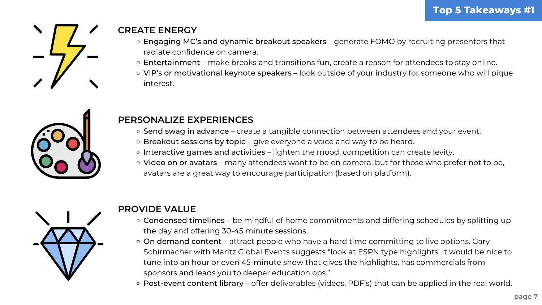- o Engaging MC's and dynamic breakout speakers generate FOMO by recruiting presenters that radiate confidence on camera.
- o Entertainment make breaks and transitions fun, create a reason for attendees to stay online.
- VIP's or motivational keynote speakers look outside of your industry for someone who will pique interest.





### **CREATE ENERGY**

- o Send swag in advance create a tangible connection between attendees and your event.
- Breakout sessions by topic give everyone a voice and way to be heard.
- o Interactive games and activities lighten the mood, competition can create levity.
- o Video on or avatars many attendees want to be on camera, but for those who prefer not to be, avatars are a great way to encourage participation (based on platform).



- o Condensed timelines be mindful of home commitments and differing schedules by splitting up the day and offering 30-45 minute sessions.
- o On demand content attract people who have a hard time committing to live options. Gary Schirmacher with Maritz Global Events suggests "look at ESPN type highlights. It would be nice to tune into an hour or even 45-minute show that gives the highlights, has commercials from sponsors and leads you to deeper education ops."
- Post-event content library offer deliverables (videos, PDF's) that can be applied in the real world.

### **PERSONALIZE EXPERIENCES**

#### **PROVIDE VALUE**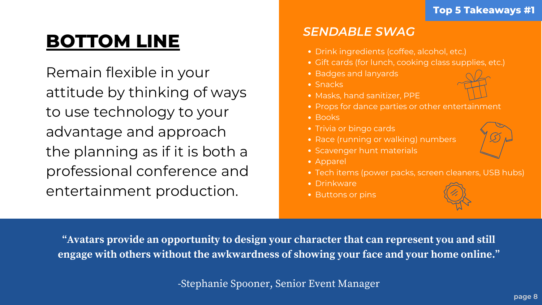Remain flexible in your attitude by thinking of ways to use technology to your advantage and approach the planning as if it is both a professional conference and entertainment production.

- Drink ingredients (coffee, alcohol, etc.)
- Gift cards (for lunch, cooking class supplies, etc.)
- 
- Snacks
- Masks, hand sanitizer, PPE
- Props for dance parties or other entertainment
- Books
- Trivia or bingo cards
- 
- 
- Apparel
- 
- Drinkware
- Buttons or pins

**"Avatars provide an opportunity to design your character that can represent you and still engage with others without the awkwardness of showing your face and your home online. "**

- Race (running or walking) numbers
- Scavenger hunt materials
	-
- Tech items (power packs, screen cleaners, USB hubs)
	-



- 
- 

-Stephanie Spooner, Senior Event Manager

- Badges and lanyards
	-

## **BOTTOM LINE**

#### **Top 5 Takeaways #1**

### *SENDABLE SWAG*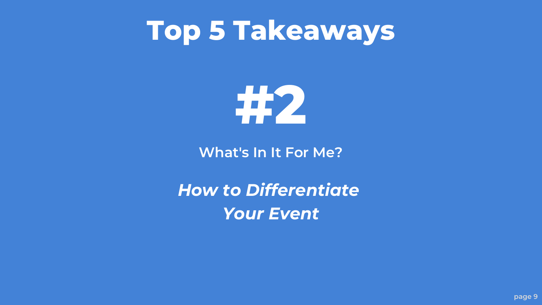# **Top 5 Takeaways**

**#2**

**What's In It For Me?**

*How to Differentiate Your Event*





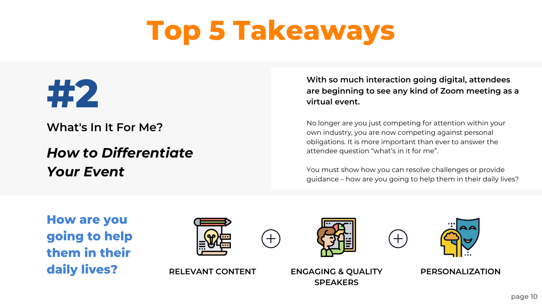### **With so much interaction going digital, attendees are beginning to see any kind of Zoom meeting as a**

**virtual event.**

No longer are you just competing for attention within your own industry, you are now competing against personal obligations. It is more important than ever to answer the attendee question "what's in it for me".

You must show how you can resolve challenges or provide guidance – how are you going to help them in their daily lives?

## *How to Differentiate Your Event*

**What's In It For Me?**

# **Top 5 Takeaways**



**RELEVANT CONTENT ENGAGING & QUALITY SPEAKERS**



**PERSONALIZATION**

**How are you going to help them in their daily lives?**





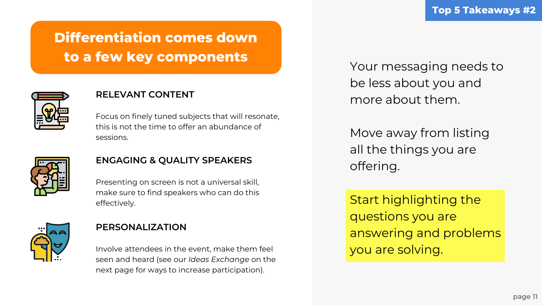Your messaging needs to be less about you and more about them.

Move away from listing all the things you are offering.

Start highlighting the questions you are answering and problems you are solving.

#### **RELEVANT CONTENT**

Focus on finely tuned subjects that will resonate, this is not the time to offer an abundance of sessions.



#### **ENGAGING & QUALITY SPEAKERS**

Presenting on screen is not a universal skill, make sure to find speakers who can do this effectively.



#### **PERSONALIZATION**

Involve attendees in the event, make them feel seen and heard (see our *Ideas Exchange* on the next page for ways to increase participation).

## **Differentiation comes down to a few key components**

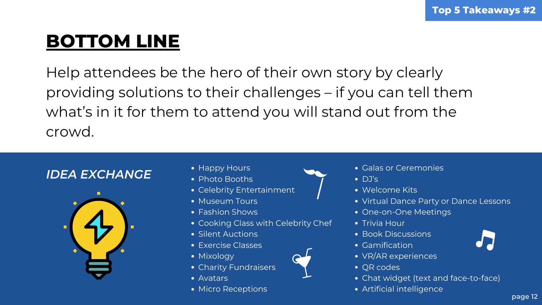Help attendees be the hero of their own story by clearly providing solutions to their challenges – if you can tell them what's in it for them to attend you will stand out from the crowd.

- Galas or Ceremonies
- DJ's
- **.** Welcome Kits
- Virtual Dance Party or Dance Lessons
- One-on-One Meetings
- Trivia Hour
- Book Discussions
- Gamification
- VR/AR experiences
- QR codes
- Chat widget (text and face-to-face)
- Artificial intelligence



## **BOTTOM LINE**

### *IDEA EXCHANGE*



- Happy Hours
- Photo Booths
- Celebrity Entertainment
- Museum Tours
- Fashion Shows
- Cooking Class with Celebrity Chef
- Silent Auctions
- Exercise Classes
- Mixology
- Charity Fundraisers
- Avatars
- Micro Receptions

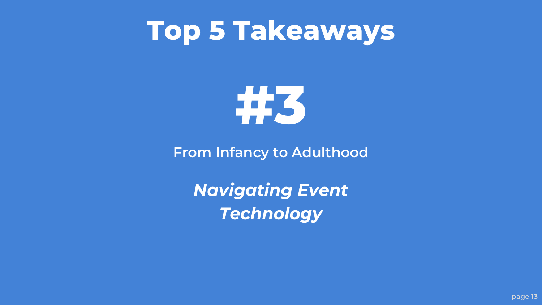# **Top 5 Takeaways**

**#3**

**From Infancy to Adulthood**

*Navigating Event Technology*

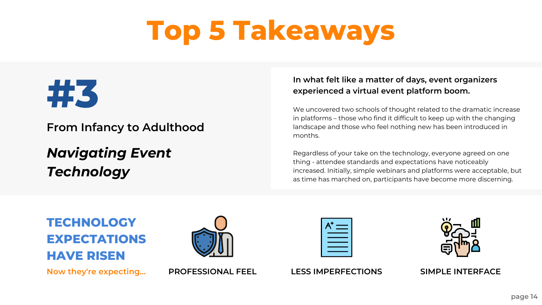#### **In what felt like a matter of days, event organizers experienced a virtual event platform boom.**

We uncovered two schools of thought related to the dramatic increase in platforms – those who find it difficult to keep up with the changing landscape and those who feel nothing new has been introduced in

| <b>STATISTICS</b>        |  |
|--------------------------|--|
|                          |  |
| <b>Contract Contract</b> |  |
|                          |  |
|                          |  |





months.

Regardless of your take on the technology, everyone agreed on one thing - attendee standards and expectations have noticeably increased. Initially, simple webinars and platforms were acceptable, but as time has marched on, participants have become more discerning.

## *Navigating Event Technology*

**From Infancy to Adulthood**

# **Top 5 Takeaways**









### **TECHNOLOGY EXPECTATIONS HAVE RISEN**

**Now they're expecting...**

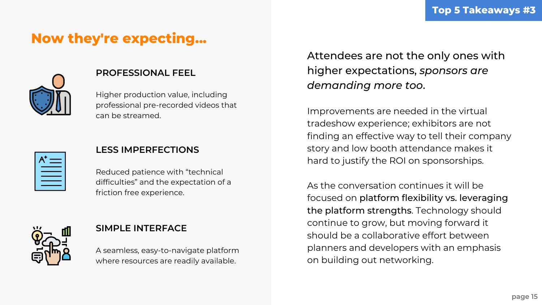#### **PROFESSIONAL FEEL**

Higher production value, including professional pre-recorded videos that can be streamed.

| $A^+$ $=$ |  |
|-----------|--|
|           |  |
|           |  |

### **LESS IMPERFECTIONS**

Reduced patience with "technical difficulties" and the expectation of a friction free experience.



#### **SIMPLE INTERFACE**

A seamless, easy-to-navigate platform where resources are readily available.

### **Now they're expecting...**



### Attendees are not the only ones with higher expectations, *sponsors are demanding more too*.

Improvements are needed in the virtual tradeshow experience; exhibitors are not finding an effective way to tell their company story and low booth attendance makes it hard to justify the ROI on sponsorships.

As the conversation continues it will be focused on platform flexibility vs. leveraging the platform strengths. Technology should continue to grow, but moving forward it should be a collaborative effort between planners and developers with an emphasis on building out networking.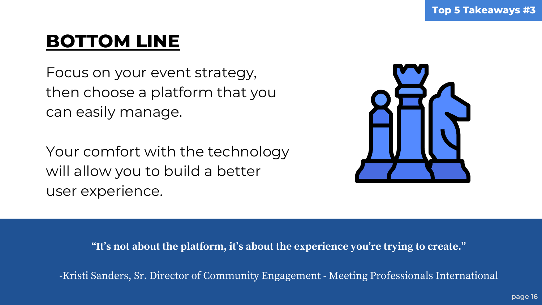Focus on your event strategy, then choose a platform that you can easily manage.

Your comfort with the technology will allow you to build a better user experience.

**"It's not about the platform, it's about the experience you're trying to create. "**

-Kristi Sanders, Sr. Director of Community Engagement - Meeting Professionals International

## **BOTTOM LINE**

#### **Top 5 Takeaways #3**

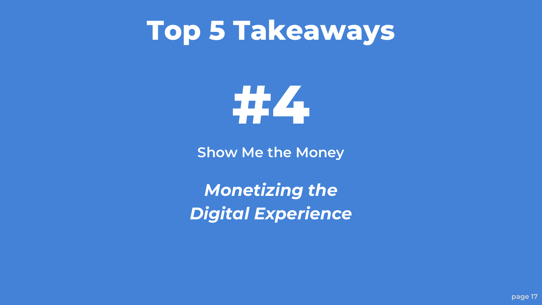# **Top 5 Takeaways**

**#4**

**Show Me the Money**

*Monetizing the Digital Experience*





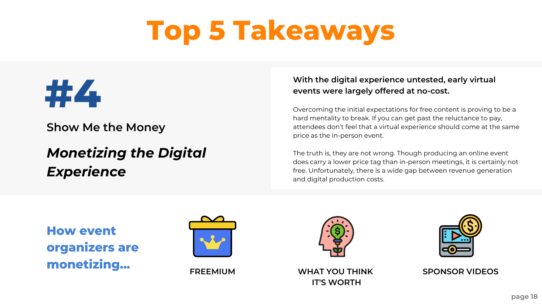#### **With the digital experience untested, early virtual events were largely offered at no-cost.**

Overcoming the initial expectations for free content is proving to be a hard mentality to break. If you can get past the reluctance to pay, attendees don't feel that a virtual experience should come at the same price as the in-person event.

The truth is, they are not wrong. Though producing an online event does carry a lower price tag than in-person meetings, it is certainly not free. Unfortunately, there is a wide gap between revenue generation and digital production costs.

## *Monetizing the Digital Experience*

**Show Me the Money**

# **Top 5 Takeaways**





**FREEMIUM WHAT YOU THINK**



**IT'S WORTH**





**SPONSOR VIDEOS**

**How event organizers are monetizing...**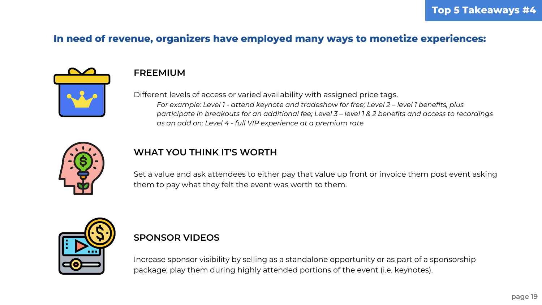#### **FREEMIUM**

Different levels of access or varied availability with assigned price tags. *For example: Level 1 - attend keynote and tradeshow for free; Level 2 – level 1 benefits, plus* participate in breakouts for an additional fee; Level 3 - level 1 & 2 benefits and access to recordings *as an add on; Level 4 - full VIP experience at a premium rate*



### **WHAT YOU THINK IT'S WORTH**

Set a value and ask attendees to either pay that value up front or invoice them post event asking them to pay what they felt the event was worth to them.



#### **SPONSOR VIDEOS**

Increase sponsor visibility by selling as a standalone opportunity or as part of a sponsorship package; play them during highly attended portions of the event (i.e. keynotes).

### **In need of revenue, organizers have employed many ways to monetize experiences:**

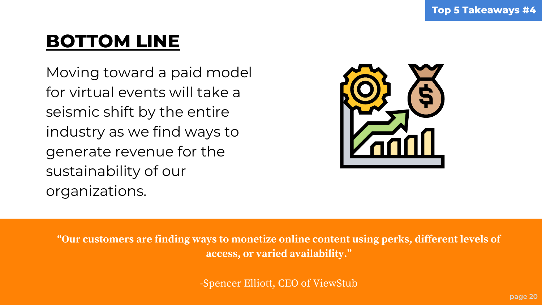Moving toward a paid model for virtual events will take a seismic shift by the entire industry as we find ways to generate revenue for the sustainability of our organizations.

**"Our customers are finding ways to monetize online content using perks, different levels of access, or varied availability. "**

-Spencer Elliott, CEO of ViewStub

## **BOTTOM LINE**

#### **Top 5 Takeaways #4**

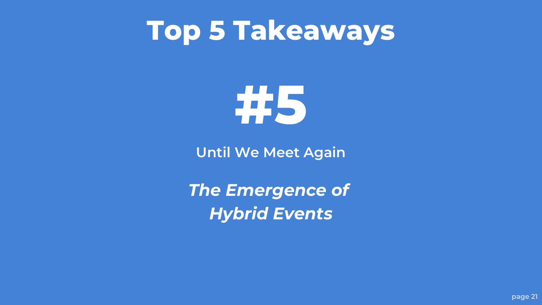# **Top 5 Takeaways**

**#5**

**Until We Meet Again**

*The Emergence of Hybrid Events*





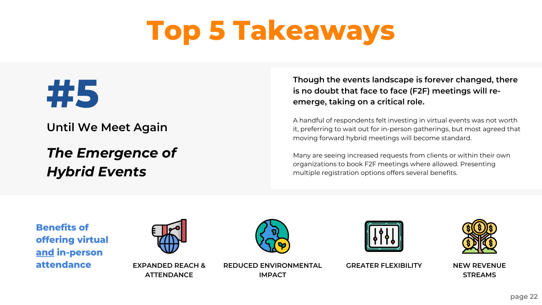#### **Though the events landscape is forever changed, there is no doubt that face to face (F2F) meetings will reemerge, taking on a critical role.**

A handful of respondents felt investing in virtual events was not worth it, preferring to wait out for in-person gatherings, but most agreed that moving forward hybrid meetings will become standard.

**REDUCE EXPANDED REACH & REDUCED ENVIRONMENTAL GREATER FLEXIBILITY IMPACT**







Many are seeing increased requests from clients or within their own organizations to book F2F meetings where allowed. Presenting multiple registration options offers several benefits.

### *The Emergence of Hybrid Events*

**Until We Meet Again**

# **Top 5 Takeaways**



**EXPANDED REACH & ATTENDANCE**

**NEW REVENUE STREAMS**

**Benefits of offering virtual and in-person**



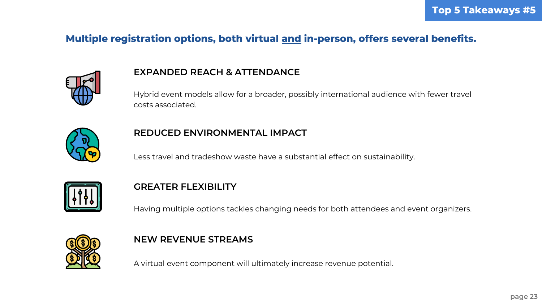#### **EXPANDED REACH & ATTENDANCE**

Hybrid event models allow for a broader, possibly international audience with fewer travel costs associated.



### **REDUCED ENVIRONMENTAL IMPACT**

Less travel and tradeshow waste have a substantial effect on sustainability.



#### **NEW REVENUE STREAMS**

A virtual event component will ultimately increase revenue potential.

### **Multiple registration options, both virtual and in-person, offers several benefits.**



#### **GREATER FLEXIBILITY**

Having multiple options tackles changing needs for both attendees and event organizers.

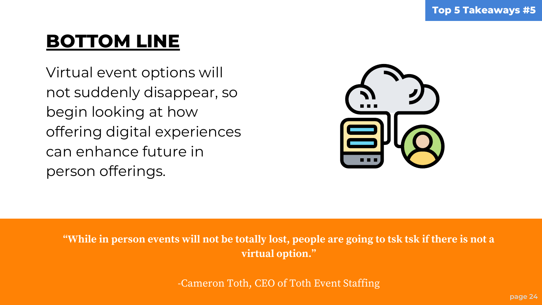Virtual event options will not suddenly disappear, so begin looking at how offering digital experiences can enhance future in person offerings.

"While in person events will not be totally lost, people are going to tsk tsk if there is not a **virtual option. "**

-Cameron Toth, CEO of Toth Event Staffing

## **BOTTOM LINE**

#### **Top 5 Takeaways #5**

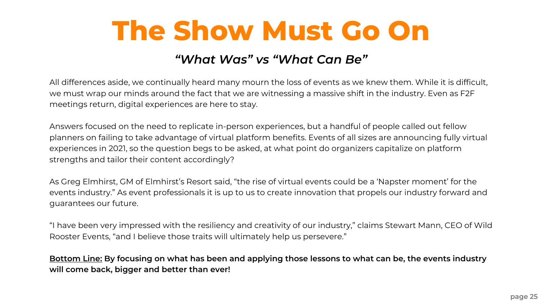All differences aside, we continually heard many mourn the loss of events as we knew them. While it is difficult, we must wrap our minds around the fact that we are witnessing a massive shift in the industry. Even as F2F meetings return, digital experiences are here to stay.

Answers focused on the need to replicate in-person experiences, but a handful of people called out fellow planners on failing to take advantage of virtual platform benefits. Events of all sizes are announcing fully virtual experiences in 2021, so the question begs to be asked, at what point do organizers capitalize on platform strengths and tailor their content accordingly?

Bottom Line: By focusing on what has been and applying those lessons to what can be, the events industry **will come back, bigger and better than ever!**



As Greg Elmhirst, GM of Elmhirst's Resort said, "the rise of virtual events could be a 'Napster moment' for the events industry." As event professionals it is up to us to create innovation that propels our industry forward and guarantees our future.

"I have been very impressed with the resiliency and creativity of our industry, " claims Stewart Mann, CEO of Wild Rooster Events, "and I believe those traits will ultimately help us persevere."

# **The Show Must Go On**

### *"What Was" vs "What Can Be"*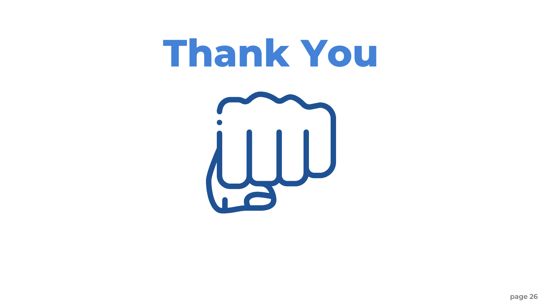# **Thank You**